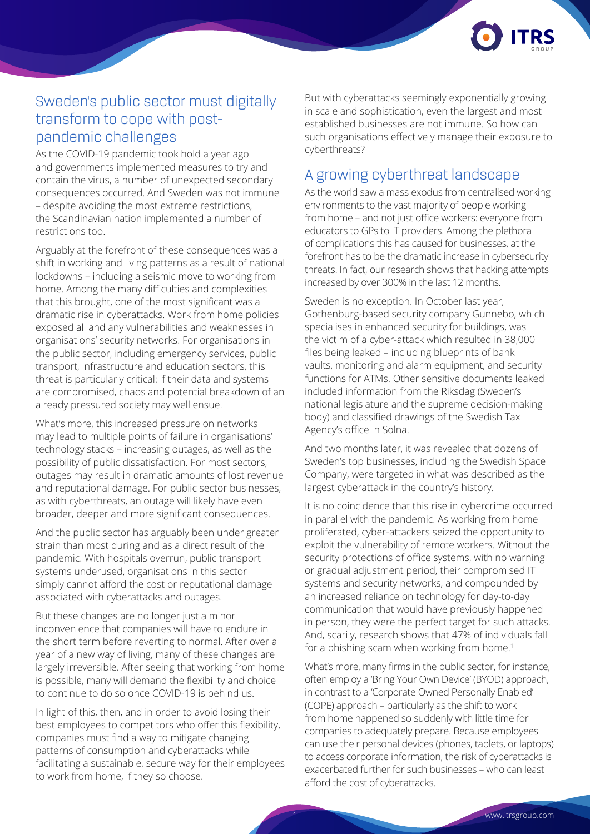

### Sweden's public sector must digitally transform to cope with postpandemic challenges

As the COVID-19 pandemic took hold a year ago and governments implemented measures to try and contain the virus, a number of unexpected secondary consequences occurred. And Sweden was not immune – despite avoiding the most extreme restrictions, the Scandinavian nation implemented a number of restrictions too.

Arguably at the forefront of these consequences was a shift in working and living patterns as a result of national lockdowns – including a seismic move to working from home. Among the many difficulties and complexities that this brought, one of the most significant was a dramatic rise in cyberattacks. Work from home policies exposed all and any vulnerabilities and weaknesses in organisations' security networks. For organisations in the public sector, including emergency services, public transport, infrastructure and education sectors, this threat is particularly critical: if their data and systems are compromised, chaos and potential breakdown of an already pressured society may well ensue.

What's more, this increased pressure on networks may lead to multiple points of failure in organisations' technology stacks – increasing outages, as well as the possibility of public dissatisfaction. For most sectors, outages may result in dramatic amounts of lost revenue and reputational damage. For public sector businesses, as with cyberthreats, an outage will likely have even broader, deeper and more significant consequences.

And the public sector has arguably been under greater strain than most during and as a direct result of the pandemic. With hospitals overrun, public transport systems underused, organisations in this sector simply cannot afford the cost or reputational damage associated with cyberattacks and outages.

But these changes are no longer just a minor inconvenience that companies will have to endure in the short term before reverting to normal. After over a year of a new way of living, many of these changes are largely irreversible. After seeing that working from home is possible, many will demand the flexibility and choice to continue to do so once COVID-19 is behind us.

In light of this, then, and in order to avoid losing their best employees to competitors who offer this flexibility, companies must find a way to mitigate changing patterns of consumption and cyberattacks while facilitating a sustainable, secure way for their employees to work from home, if they so choose.

But with cyberattacks seemingly exponentially growing in scale and sophistication, even the largest and most established businesses are not immune. So how can such organisations effectively manage their exposure to cyberthreats?

## A growing cyberthreat landscape

As the world saw a mass exodus from centralised working environments to the vast majority of people working from home – and not just office workers: everyone from educators to GPs to IT providers. Among the plethora of complications this has caused for businesses, at the forefront has to be the dramatic increase in cybersecurity threats. In fact, our research shows that hacking attempts increased by over 300% in the last 12 months.

Sweden is no exception. In October last year, Gothenburg-based security company Gunnebo, which specialises in enhanced security for buildings, was the victim of a cyber-attack which resulted in 38,000 files being leaked – including blueprints of bank vaults, monitoring and alarm equipment, and security functions for ATMs. Other sensitive documents leaked included information from the Riksdag (Sweden's national legislature and the supreme decision-making body) and classified drawings of the Swedish Tax Agency's office in Solna.

And two months later, it was revealed that dozens of Sweden's top businesses, including the Swedish Space Company, were targeted in what was described as the largest cyberattack in the country's history.

It is no coincidence that this rise in cybercrime occurred in parallel with the pandemic. As working from home proliferated, cyber-attackers seized the opportunity to exploit the vulnerability of remote workers. Without the security protections of office systems, with no warning or gradual adjustment period, their compromised IT systems and security networks, and compounded by an increased reliance on technology for day-to-day communication that would have previously happened in person, they were the perfect target for such attacks. And, scarily, research shows that 47% of individuals fall for a phishing scam when working from home.<sup>1</sup>

What's more, many firms in the public sector, for instance, often employ a 'Bring Your Own Device' (BYOD) approach, in contrast to a 'Corporate Owned Personally Enabled' (COPE) approach – particularly as the shift to work from home happened so suddenly with little time for companies to adequately prepare. Because employees can use their personal devices (phones, tablets, or laptops) to access corporate information, the risk of cyberattacks is exacerbated further for such businesses – who can least afford the cost of cyberattacks.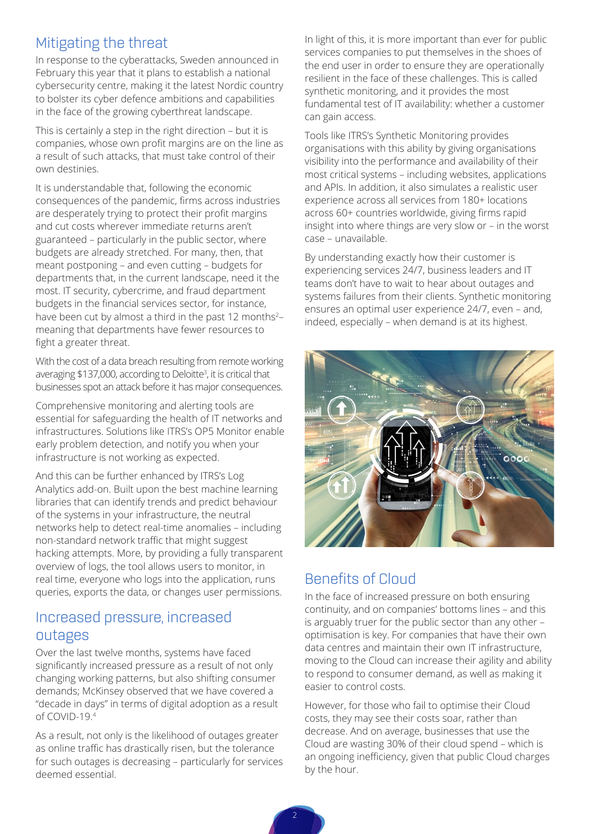# Mitigating the threat

In response to the cyberattacks, Sweden announced in February this year that it plans to establish a national cybersecurity centre, making it the latest Nordic country to bolster its cyber defence ambitions and capabilities in the face of the growing cyberthreat landscape.

This is certainly a step in the right direction – but it is companies, whose own profit margins are on the line as a result of such attacks, that must take control of their own destinies.

It is understandable that, following the economic consequences of the pandemic, firms across industries are desperately trying to protect their profit margins and cut costs wherever immediate returns aren't guaranteed – particularly in the public sector, where budgets are already stretched. For many, then, that meant postponing – and even cutting – budgets for departments that, in the current landscape, need it the most. IT security, cybercrime, and fraud department budgets in the financial services sector, for instance, have been cut by almost a third in the past 12 months<sup>2</sup>meaning that departments have fewer resources to fight a greater threat.

With the cost of a data breach resulting from remote working averaging \$137,000, according to Deloitte<sup>3</sup>, it is critical that businesses spot an attack before it has major consequences.

Comprehensive monitoring and alerting tools are essential for safeguarding the health of IT networks and infrastructures. Solutions like ITRS's OP5 Monitor enable early problem detection, and notify you when your infrastructure is not working as expected.

And this can be further enhanced by ITRS's Log Analytics add-on. Built upon the best machine learning libraries that can identify trends and predict behaviour of the systems in your infrastructure, the neutral networks help to detect real-time anomalies – including non-standard network traffic that might suggest hacking attempts. More, by providing a fully transparent overview of logs, the tool allows users to monitor, in real time, everyone who logs into the application, runs queries, exports the data, or changes user permissions.

### Increased pressure, increased outages

Over the last twelve months, systems have faced significantly increased pressure as a result of not only changing working patterns, but also shifting consumer demands; McKinsey observed that we have covered a "decade in days" in terms of digital adoption as a result of COVID-19.4

As a result, not only is the likelihood of outages greater as online traffic has drastically risen, but the tolerance for such outages is decreasing – particularly for services deemed essential.

In light of this, it is more important than ever for public services companies to put themselves in the shoes of the end user in order to ensure they are operationally resilient in the face of these challenges. This is called synthetic monitoring, and it provides the most fundamental test of IT availability: whether a customer can gain access.

Tools like ITRS's Synthetic Monitoring provides organisations with this ability by giving organisations visibility into the performance and availability of their most critical systems – including websites, applications and APIs. In addition, it also simulates a realistic user experience across all services from 180+ locations across 60+ countries worldwide, giving firms rapid insight into where things are very slow or – in the worst case – unavailable.

By understanding exactly how their customer is experiencing services 24/7, business leaders and IT teams don't have to wait to hear about outages and systems failures from their clients. Synthetic monitoring ensures an optimal user experience 24/7, even – and, indeed, especially – when demand is at its highest.



# Benefits of Cloud

In the face of increased pressure on both ensuring continuity, and on companies' bottoms lines – and this is arguably truer for the public sector than any other – optimisation is key. For companies that have their own data centres and maintain their own IT infrastructure, moving to the Cloud can increase their agility and ability to respond to consumer demand, as well as making it easier to control costs.

However, for those who fail to optimise their Cloud costs, they may see their costs soar, rather than decrease. And on average, businesses that use the Cloud are wasting 30% of their cloud spend – which is an ongoing inefficiency, given that public Cloud charges by the hour.